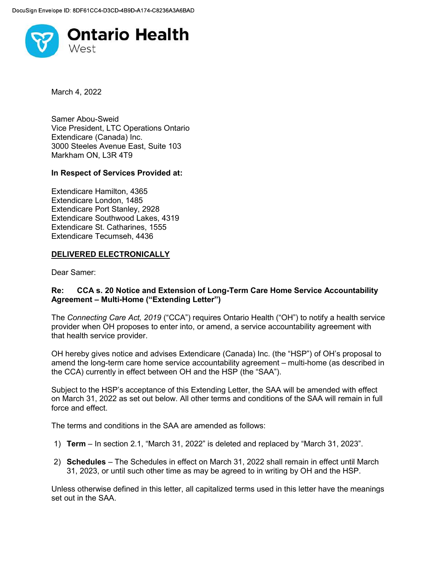

March 4, 2022

Samer Abou-Sweid Vice President, LTC Operations Ontario Extendicare (Canada) Inc. 3000 Steeles Avenue East, Suite 103 Markham ON, L3R 4T9

## In Respect of Services Provided at:

Extendicare Hamilton, 4365 Extendicare London, 1485 Extendicare Port Stanley, 2928 Extendicare Southwood Lakes, 4319 Extendicare St. Catharines, 1555 Extendicare Tecumseh, 4436

## DELIVERED ELECTRONICALLY

Dear Samer:

## Re: CCA s. 20 Notice and Extension of Long-Term Care Home Service Accountability Agreement – Multi-Home ("Extending Letter")

The Connecting Care Act, 2019 ("CCA") requires Ontario Health ("OH") to notify a health service provider when OH proposes to enter into, or amend, a service accountability agreement with that health service provider.

OH hereby gives notice and advises Extendicare (Canada) Inc. (the "HSP") of OH's proposal to amend the long-term care home service accountability agreement – multi-home (as described in the CCA) currently in effect between OH and the HSP (the "SAA").

Subject to the HSP's acceptance of this Extending Letter, the SAA will be amended with effect on March 31, 2022 as set out below. All other terms and conditions of the SAA will remain in full force and effect.

The terms and conditions in the SAA are amended as follows:

- 1) Term In section 2.1, "March 31, 2022" is deleted and replaced by "March 31, 2023".
- 2) Schedules The Schedules in effect on March 31, 2022 shall remain in effect until March 31, 2023, or until such other time as may be agreed to in writing by OH and the HSP.

Unless otherwise defined in this letter, all capitalized terms used in this letter have the meanings set out in the SAA.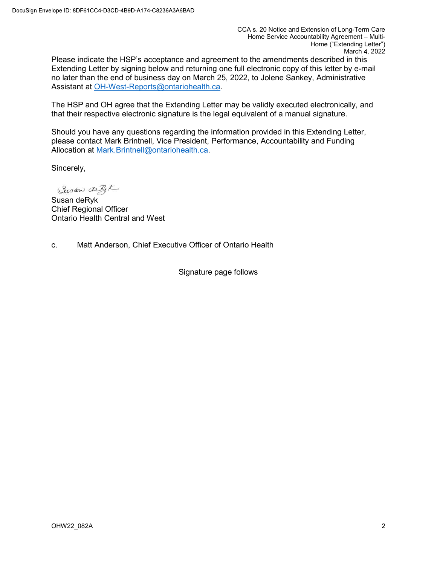CCA s. 20 Notice and Extension of Long-Term Care Home Service Accountability Agreement – Multi-Home ("Extending Letter") March 4, 2022

Please indicate the HSP's acceptance and agreement to the amendments described in this Extending Letter by signing below and returning one full electronic copy of this letter by e-mail no later than the end of business day on March 25, 2022, to Jolene Sankey, Administrative Assistant at OH-West-Reports@ontariohealth.ca.

The HSP and OH agree that the Extending Letter may be validly executed electronically, and that their respective electronic signature is the legal equivalent of a manual signature.

Should you have any questions regarding the information provided in this Extending Letter, please contact Mark Brintnell, Vice President, Performance, Accountability and Funding Allocation at Mark.Brintnell@ontariohealth.ca.

Sincerely,

Susan difft

Susan deRyk Chief Regional Officer Ontario Health Central and West

c. Matt Anderson, Chief Executive Officer of Ontario Health

Signature page follows